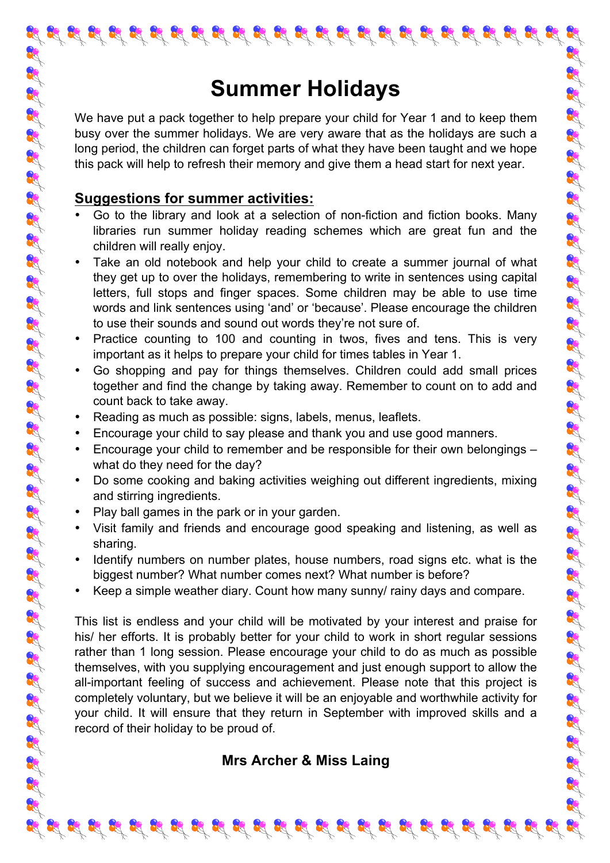# **Summer Holidays**

We have put a pack together to help prepare your child for Year 1 and to keep them busy over the summer holidays. We are very aware that as the holidays are such a long period, the children can forget parts of what they have been taught and we hope this pack will help to refresh their memory and give them a head start for next year.

#### **Suggestions for summer activities:**

- Go to the library and look at a selection of non-fiction and fiction books. Many libraries run summer holiday reading schemes which are great fun and the children will really enjoy.
- Take an old notebook and help your child to create a summer journal of what they get up to over the holidays, remembering to write in sentences using capital letters, full stops and finger spaces. Some children may be able to use time words and link sentences using 'and' or 'because'. Please encourage the children to use their sounds and sound out words they're not sure of.
- Practice counting to 100 and counting in twos, fives and tens. This is very important as it helps to prepare your child for times tables in Year 1.
- Go shopping and pay for things themselves. Children could add small prices together and find the change by taking away. Remember to count on to add and count back to take away.
- Reading as much as possible: signs, labels, menus, leaflets.
- Encourage your child to say please and thank you and use good manners.
- Encourage your child to remember and be responsible for their own belongings what do they need for the day?

- Do some cooking and baking activities weighing out different ingredients, mixing and stirring ingredients.
- Play ball games in the park or in your garden.
- Visit family and friends and encourage good speaking and listening, as well as sharing.
- Identify numbers on number plates, house numbers, road signs etc. what is the biggest number? What number comes next? What number is before?
- Keep a simple weather diary. Count how many sunny/ rainy days and compare.

This list is endless and your child will be motivated by your interest and praise for his/ her efforts. It is probably better for your child to work in short regular sessions rather than 1 long session. Please encourage your child to do as much as possible themselves, with you supplying encouragement and just enough support to allow the all-important feeling of success and achievement. Please note that this project is completely voluntary, but we believe it will be an enjoyable and worthwhile activity for your child. It will ensure that they return in September with improved skills and a record of their holiday to be proud of.

#### **Mrs Archer & Miss Laing**

 $\mathcal{L}_1 \otimes \mathcal{L}_2 \otimes \mathcal{L}_3 \otimes \mathcal{L}_4 \otimes \mathcal{L}_5 \otimes \mathcal{L}_6$